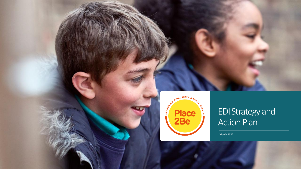

### EDI Strategy and Action Plan

March 2022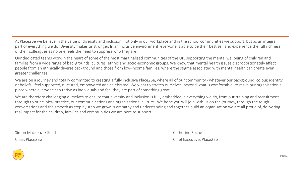At Place2Be we believe in the value of diversity and inclusion, not only in our workplace and in the school communities we support, but as an integral part of everything we do. Diversity makes us stronger. In an inclusive environment, everyone is able to be their best self and experience the full richness of their colleagues as no one feels the need to suppress who they are.

Our dedicated teams work in the heart of some of the most marginalised communities of the UK, supporting the mental wellbeing of children and families from a wide range of backgrounds, cultures, ethnic and socio-economic groups. We know that mental health issues disproportionately affect people from an ethnically diverse background and those from low-income families, where the stigma associated with mental health can create even greater challenges.

We are on a journey and totally committed to creating a fully inclusive Place2Be, where all of our community - whatever our background, colour, identity or beliefs - feel supported, nurtured, empowered and celebrated. We want to stretch ourselves, beyond what is comfortable, to make our organisation a place where everyone can thrive as individuals and feel they are part of something great.

We are therefore challenging ourselves to ensure that diversity and inclusion is fully embedded in everything we do, from our training and recruitment through to our clinical practice, our communications and organisational culture. We hope you will join with us on the journey, through the tough conversations and the smooth as step by step we grow in empathy and understanding and together build an organisation we are all proud of, delivering real impact for the children, families and communities we are here to support.

Simon Mackenzie-Smith Catherine Roche

Chair, Place2Be Chief Executive, Place2Be

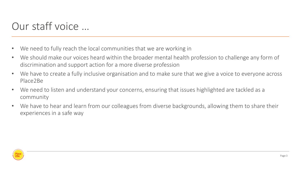## Our staff voice …

- We need to fully reach the local communities that we are working in
- We should make our voices heard within the broader mental health profession to challenge any form of discrimination and support action for a more diverse profession
- We have to create a fully inclusive organisation and to make sure that we give a voice to everyone across Place2Be
- We need to listen and understand your concerns, ensuring that issues highlighted are tackled as a community
- We have to hear and learn from our colleagues from diverse backgrounds, allowing them to share their experiences in a safe way

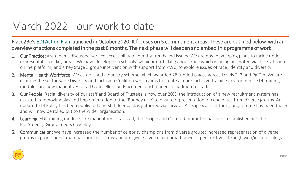## March 2022 - our work to date

Place2Be's [EDI Action Plan l](https://place2be.sharepoint.com/StaffInformation/Equality-Diversity-and-Inclusion/Pages/Diversity-and-Inclusion-Action-Plan.aspx)aunched in October 2020. It focuses on 5 commitment areas. These are outlined below, with an overview of actions completed in the past 6 months. The next phase will deepen and embed this programme of work.

- Our Practice: Area teams discussed service accessibility to identify trends and issues. We are now developing plans to tackle underrepresentation in key areas. We have developed a schools' webinar on Talking about Race which is being promoted via the Staffroom online platform; and a Key Stage 3 group intervention with support from PWC, to explore issues of race, identity and diversity.
- 2. Mental Health Workforce: We established a bursary scheme which awarded 28 funded places across Levels 2, 3 and Pg Dip. We are chairing the sector-wide Diversity and Inclusion Coalition which aims to create a more inclusive training environment. EDI training modules are now mandatory for all Counsellors on Placement and trainers in addition to staff.
- 3. Our People: Racial diversity of our staff and Board of Trustees is now over 20%; the introduction of a new recruitment system has assisted in removing bias and implementation of the 'Rooney rule' to ensure representation of candidates from diverse groups. An updated EDI Policy has been published and staff feedback is gathered via surveys. A reciprocal mentoring programme has been trialed and will now be rolled out to the wider organisation.
- 4. Learning: EDI training modules are mandatory for all staff, the People and Culture Committee has been established and the EDI Steering Group meets 6 weekly.
- 5. Communication: We have increased the number of celebrity champions from diverse groups; increased representation of diverse groups in promotional materials and platforms; and are giving a voice to a broad range of perspectives through web/intranet blogs.

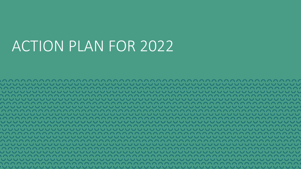# ACTION PLAN FOR 2022

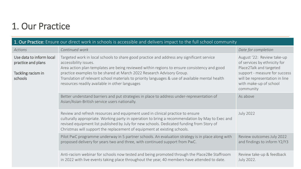### 1. Our Practice

| 1. Our Practice: Ensure our direct work in schools is accessible and delivers impact to the full school community |                                                                                                                                                                                                                                                                                                                                                                                                                                                 |                                                                                                                                                                                                 |  |  |  |
|-------------------------------------------------------------------------------------------------------------------|-------------------------------------------------------------------------------------------------------------------------------------------------------------------------------------------------------------------------------------------------------------------------------------------------------------------------------------------------------------------------------------------------------------------------------------------------|-------------------------------------------------------------------------------------------------------------------------------------------------------------------------------------------------|--|--|--|
| Actions                                                                                                           | Continued work                                                                                                                                                                                                                                                                                                                                                                                                                                  | Date for completion                                                                                                                                                                             |  |  |  |
| Use data to inform local<br>practice and plans<br>Tackling racism in<br>schools                                   | Targeted work in local schools to share good practice and address any significant service<br>accessibility issues.<br>Area action plan templates are being reviewed within regions to ensure consistency and good<br>practice examples to be shared at March 2022 Research Advisory Group.<br>Translation of relevant school materials to priority languages & use of available mental health<br>resources readily available in other languages | August '22: Review take-up<br>of services by ethnicity for<br>Place2Talk and targeted<br>support - measure for success<br>will be representation in line<br>with make-up of school<br>community |  |  |  |
|                                                                                                                   | Better understand barriers and put strategies in place to address under-representation of<br>Asian/Asian-British service users nationally.                                                                                                                                                                                                                                                                                                      | As above                                                                                                                                                                                        |  |  |  |
|                                                                                                                   | Review and refresh resources and equipment used in clinical practice to ensure<br>culturally appropriate. Working party in operation to bring a recommendation by May to Exec and<br>revised equipment list published by July for new schools. Dedicated funding from Story of<br>Christmas will support the replacement of equipment at existing schools.                                                                                      | <b>July 2022</b>                                                                                                                                                                                |  |  |  |
|                                                                                                                   | Pilot PwC programme underway in 5 partner schools. An evaluation strategy is in place along with<br>proposed delivery for years two and three, with continued support from PwC.                                                                                                                                                                                                                                                                 | Review outcomes July 2022<br>and findings to inform Y2/Y3                                                                                                                                       |  |  |  |
|                                                                                                                   | Anti-racism webinar for schools now tested and being promoted through the Place2Be Staffroom<br>in 2022 with live events taking place throughout the year, 40 members have attended to date.                                                                                                                                                                                                                                                    | Review take-up & feedback<br>July 2022.                                                                                                                                                         |  |  |  |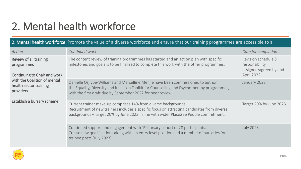## 2. Mental health workforce

#### 2. Mental health workforce: Promote the value of a diverse workforce and ensure that our training programmes are accessible to all

| Action                                                               | Continued work                                                                                                                                                                                                                                         | Date for completion                                                           |
|----------------------------------------------------------------------|--------------------------------------------------------------------------------------------------------------------------------------------------------------------------------------------------------------------------------------------------------|-------------------------------------------------------------------------------|
| Review of all training<br>programmes<br>Continuing to Chair and work | The content review of training programmes has started and an action plan with specific<br>milestones and goals is to be finalised to complete this work with the other programmes.                                                                     | Revision schedule &<br>responsibility<br>assigned/agreed by end<br>April 2022 |
| with the Coalition of mental<br>health sector training<br>providers  | Danielle Osjivbe-Williams and Marcelline Menjie have been commissioned to author<br>the Equality, Diversity and Inclusion Toolkit for Counselling and Psychotherapy programmes,<br>with the first draft due by September 2022 for peer review.         | January 2023                                                                  |
| Establish a bursary scheme                                           | Current trainer make-up comprises 14% from diverse backgrounds.<br>Recruitment of new trainers includes a specific focus on attracting candidates from diverse<br>backgrounds - target 20% by June 2023 in line with wider Place2Be People commitment. | Target 20% by June 2023                                                       |
|                                                                      | Continued support and engagement with 1 <sup>st</sup> bursary cohort of 28 participants.<br>Create new qualifications along with an entry level position and a number of bursaries for<br>trainee posts (July 2023)                                    | <b>July 2023</b>                                                              |

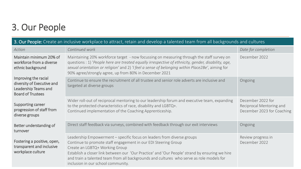## 3. Our People

| 3. Our People: Create an inclusive workplace to attract, retain and develop a talented team from all backgrounds and cultures |                                                                                                                                                                                                                                                                                                                                                                                                                |                                                                             |  |  |
|-------------------------------------------------------------------------------------------------------------------------------|----------------------------------------------------------------------------------------------------------------------------------------------------------------------------------------------------------------------------------------------------------------------------------------------------------------------------------------------------------------------------------------------------------------|-----------------------------------------------------------------------------|--|--|
| Action                                                                                                                        | Continued work                                                                                                                                                                                                                                                                                                                                                                                                 | Date for completion                                                         |  |  |
| Maintain minimum 20% of<br>workforce from a diverse<br>ethnic background                                                      | Maintaining 20% workforce target - now focussing on measuring through the staff survey on<br>questions : 1) 'People here are treated equally irrespective of ethnicity, gender, disability, age,<br>sexual orientation or religion' and 2) 'I feel a sense of belonging within Place2Be', aiming for<br>90% agree/strongly agree, up from 80% in December 2021                                                 | December 2022                                                               |  |  |
| Improving the racial<br>diversity of Executive and<br>Leadership Teams and<br><b>Board of Trustees</b>                        | Continue to ensure the recruitment of all trustee and senior role adverts are inclusive and<br>targeted at diverse groups                                                                                                                                                                                                                                                                                      | Ongoing                                                                     |  |  |
| Supporting career<br>progression of staff from<br>diverse groups                                                              | Wider roll-out of reciprocal mentoring to our leadership forum and executive team, expanding<br>to the protected characteristics of race, disability and LGBTQ+.<br>Continued implementation of the Coaching Apprenticeship.                                                                                                                                                                                   | December 2022 for<br>Reciprocal Mentoring and<br>December 2023 for Coaching |  |  |
| Better understanding of<br>turnover                                                                                           | Direct staff feedback via surveys, combined with feedback through our exit interviews                                                                                                                                                                                                                                                                                                                          | Ongoing                                                                     |  |  |
| Fostering a positive, open,<br>transparent and inclusive<br>workplace culture                                                 | Leadership Empowerment - specific focus on leaders from diverse groups<br>Continue to promote staff engagement in our EDI Steering Group<br>Create an LGBTQ+ Working Group<br>Establish a closer link between our 'Our Practice' and 'Our People' strand by ensuring we hire<br>and train a talented team from all backgrounds and cultures who serve as role models for<br>inclusion in our school community. | Review progress in<br>December 2022                                         |  |  |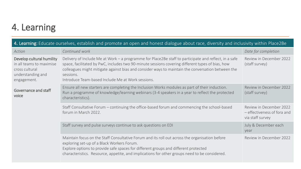### 4. Learning

| 4. Learning: Educate ourselves, establish and promote an open and honest dialogue about race, diversity and inclusivity within Place2Be |                                                                                                                                                                                                                                                                                                                                                                                  |                                                                            |  |  |
|-----------------------------------------------------------------------------------------------------------------------------------------|----------------------------------------------------------------------------------------------------------------------------------------------------------------------------------------------------------------------------------------------------------------------------------------------------------------------------------------------------------------------------------|----------------------------------------------------------------------------|--|--|
| Action                                                                                                                                  | Continued work                                                                                                                                                                                                                                                                                                                                                                   | Date for completion                                                        |  |  |
| Develop cultural humility<br>in all teams to maximise<br>cross cultural<br>understanding and<br>engagement.                             | Delivery of Include Me at Work - a programme for Place2Be staff to participate and reflect, in a safe<br>space, facilitated by PwC, includes two 90-minute sessions covering different types of bias, how<br>colleagues might mitigate against bias and consider ways to maintain the conversation between the<br>sessions.<br>Introduce Team-based Include Me at Work sessions. | Review in December 2022<br>(staff survey)                                  |  |  |
| Governance and staff<br>voice                                                                                                           | Ensure all new starters are completing the Inclusion Works modules as part of their induction.<br>Run a programme of knowledge/learning webinars (3-4 speakers in a year to reflect the protected<br>characteristics).                                                                                                                                                           | Review in December 2022<br>(staff survey)                                  |  |  |
|                                                                                                                                         | Staff Consultative Forum - continuing the office-based forum and commencing the school-based<br>forum in March 2022.                                                                                                                                                                                                                                                             | Review in December 2022<br>- effectiveness of fora and<br>via staff survey |  |  |
|                                                                                                                                         | Staff survey and pulse surveys continue to ask questions on EDI                                                                                                                                                                                                                                                                                                                  | July & December each<br>year                                               |  |  |
|                                                                                                                                         | Maintain focus on the Staff Consultative Forum and its roll out across the organisation before<br>exploring set-up of a Black Workers Forum.<br>Explore options to provide safe spaces for different groups and different protected<br>characteristics. Resource, appetite, and implications for other groups need to be considered.                                             | Review in December 2022                                                    |  |  |